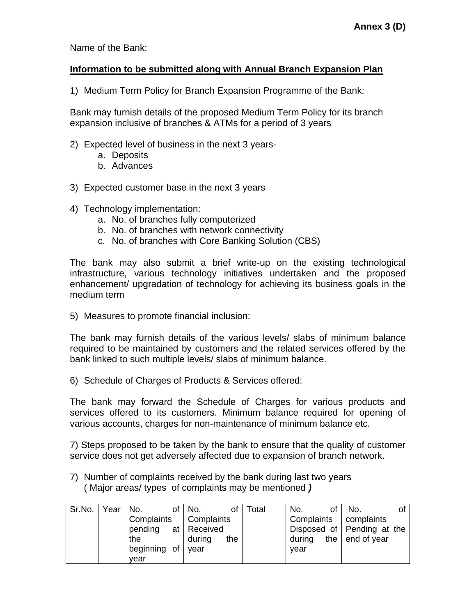Name of the Bank:

## **Information to be submitted along with Annual Branch Expansion Plan**

1) Medium Term Policy for Branch Expansion Programme of the Bank:

Bank may furnish details of the proposed Medium Term Policy for its branch expansion inclusive of branches & ATMs for a period of 3 years

- 2) Expected level of business in the next 3 years
	- a. Deposits
	- b. Advances
- 3) Expected customer base in the next 3 years
- 4) Technology implementation:
	- a. No. of branches fully computerized
	- b. No. of branches with network connectivity
	- c. No. of branches with Core Banking Solution (CBS)

The bank may also submit a brief write-up on the existing technological infrastructure, various technology initiatives undertaken and the proposed enhancement/ upgradation of technology for achieving its business goals in the medium term

5) Measures to promote financial inclusion:

The bank may furnish details of the various levels/ slabs of minimum balance required to be maintained by customers and the related services offered by the bank linked to such multiple levels/ slabs of minimum balance.

6) Schedule of Charges of Products & Services offered:

The bank may forward the Schedule of Charges for various products and services offered to its customers. Minimum balance required for opening of various accounts, charges for non-maintenance of minimum balance etc.

7) Steps proposed to be taken by the bank to ensure that the quality of customer service does not get adversely affected due to expansion of branch network.

7) Number of complaints received by the bank during last two years ( Major areas/ types of complaints may be mentioned *)*

| Sr.No. | Year | No.                 | of $\vert$ No.<br>οt | Total | No.<br>οf  | No.<br>Ωt                  |
|--------|------|---------------------|----------------------|-------|------------|----------------------------|
|        |      | Complaints          | Complaints           |       | Complaints | complaints                 |
|        |      | pending at Received |                      |       |            | Disposed of Pending at the |
|        |      | the                 | during<br>the        |       | during     | the $ $ end of year        |
|        |      | beginning of year   |                      |       | vear       |                            |
|        |      | year                |                      |       |            |                            |